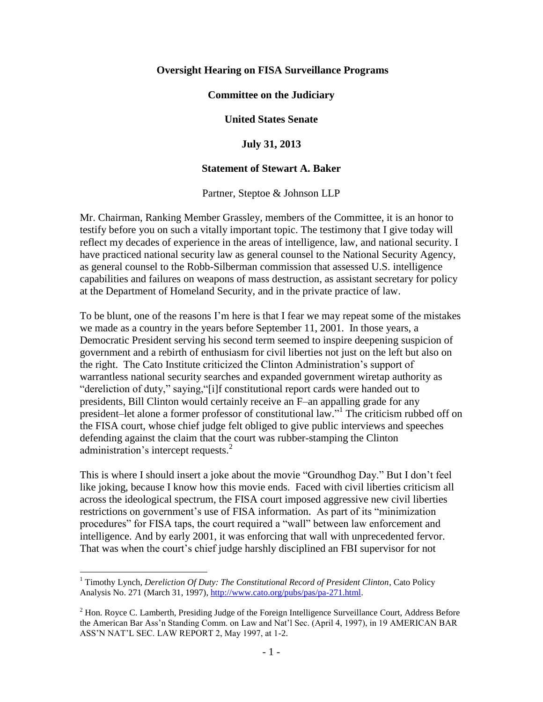#### **Oversight Hearing on FISA Surveillance Programs**

#### **Committee on the Judiciary**

#### **United States Senate**

#### **July 31, 2013**

#### **Statement of Stewart A. Baker**

Partner, Steptoe & Johnson LLP

Mr. Chairman, Ranking Member Grassley, members of the Committee, it is an honor to testify before you on such a vitally important topic. The testimony that I give today will reflect my decades of experience in the areas of intelligence, law, and national security. I have practiced national security law as general counsel to the National Security Agency, as general counsel to the Robb-Silberman commission that assessed U.S. intelligence capabilities and failures on weapons of mass destruction, as assistant secretary for policy at the Department of Homeland Security, and in the private practice of law.

To be blunt, one of the reasons I'm here is that I fear we may repeat some of the mistakes we made as a country in the years before September 11, 2001. In those years, a Democratic President serving his second term seemed to inspire deepening suspicion of government and a rebirth of enthusiasm for civil liberties not just on the left but also on the right. The Cato Institute criticized the Clinton Administration's support of warrantless national security searches and expanded government wiretap authority as "dereliction of duty," saying,"[i]f constitutional report cards were handed out to presidents, Bill Clinton would certainly receive an F–an appalling grade for any president–let alone a former professor of constitutional law."<sup>1</sup> The criticism rubbed off on the FISA court, whose chief judge felt obliged to give public interviews and speeches defending against the claim that the court was rubber-stamping the Clinton administration's intercept requests.<sup>2</sup>

This is where I should insert a joke about the movie "Groundhog Day." But I don't feel like joking, because I know how this movie ends. Faced with civil liberties criticism all across the ideological spectrum, the FISA court imposed aggressive new civil liberties restrictions on government's use of FISA information. As part of its "minimization procedures" for FISA taps, the court required a "wall" between law enforcement and intelligence. And by early 2001, it was enforcing that wall with unprecedented fervor. That was when the court's chief judge harshly disciplined an FBI supervisor for not

 $\overline{a}$ 

<sup>1</sup> Timothy Lynch, *Dereliction Of Duty: The Constitutional Record of President Clinton*, Cato Policy Analysis No. 271 (March 31, 1997), [http://www.cato.org/pubs/pas/pa-271.html.](http://www.cato.org/pubs/pas/pa-271.html)

 $<sup>2</sup>$  Hon. Royce C. Lamberth, Presiding Judge of the Foreign Intelligence Surveillance Court, Address Before</sup> the American Bar Ass'n Standing Comm. on Law and Nat'l Sec. (April 4, 1997), in 19 AMERICAN BAR ASS'N NAT'L SEC. LAW REPORT 2, May 1997, at 1-2.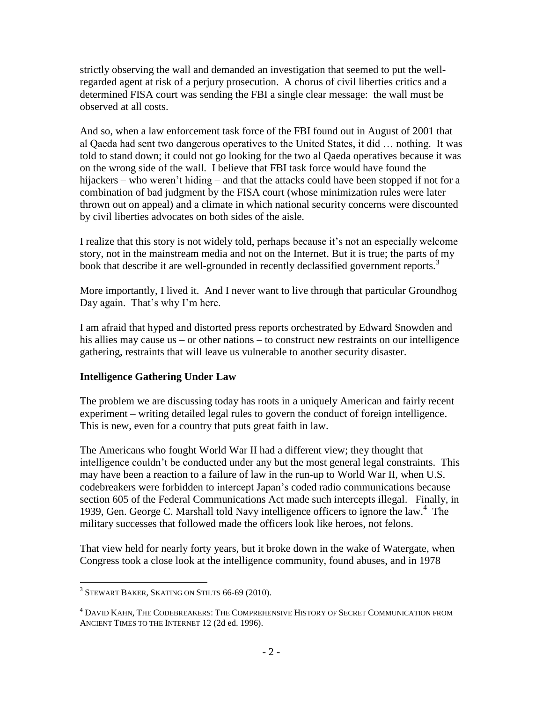strictly observing the wall and demanded an investigation that seemed to put the wellregarded agent at risk of a perjury prosecution. A chorus of civil liberties critics and a determined FISA court was sending the FBI a single clear message: the wall must be observed at all costs.

And so, when a law enforcement task force of the FBI found out in August of 2001 that al Qaeda had sent two dangerous operatives to the United States, it did … nothing. It was told to stand down; it could not go looking for the two al Qaeda operatives because it was on the wrong side of the wall. I believe that FBI task force would have found the hijackers – who weren't hiding – and that the attacks could have been stopped if not for a combination of bad judgment by the FISA court (whose minimization rules were later thrown out on appeal) and a climate in which national security concerns were discounted by civil liberties advocates on both sides of the aisle.

I realize that this story is not widely told, perhaps because it's not an especially welcome story, not in the mainstream media and not on the Internet. But it is true; the parts of my book that describe it are well-grounded in recently declassified government reports.<sup>3</sup>

More importantly, I lived it. And I never want to live through that particular Groundhog Day again. That's why I'm here.

I am afraid that hyped and distorted press reports orchestrated by Edward Snowden and his allies may cause us – or other nations – to construct new restraints on our intelligence gathering, restraints that will leave us vulnerable to another security disaster.

## **Intelligence Gathering Under Law**

The problem we are discussing today has roots in a uniquely American and fairly recent experiment – writing detailed legal rules to govern the conduct of foreign intelligence. This is new, even for a country that puts great faith in law.

The Americans who fought World War II had a different view; they thought that intelligence couldn't be conducted under any but the most general legal constraints. This may have been a reaction to a failure of law in the run-up to World War II, when U.S. codebreakers were forbidden to intercept Japan's coded radio communications because section 605 of the Federal Communications Act made such intercepts illegal. Finally, in 1939, Gen. George C. Marshall told Navy intelligence officers to ignore the law. 4 The military successes that followed made the officers look like heroes, not felons.

That view held for nearly forty years, but it broke down in the wake of Watergate, when Congress took a close look at the intelligence community, found abuses, and in 1978

 3 STEWART BAKER, SKATING ON STILTS 66-69 (2010).

<sup>4</sup> DAVID KAHN, THE CODEBREAKERS: THE COMPREHENSIVE HISTORY OF SECRET COMMUNICATION FROM ANCIENT TIMES TO THE INTERNET 12 (2d ed. 1996).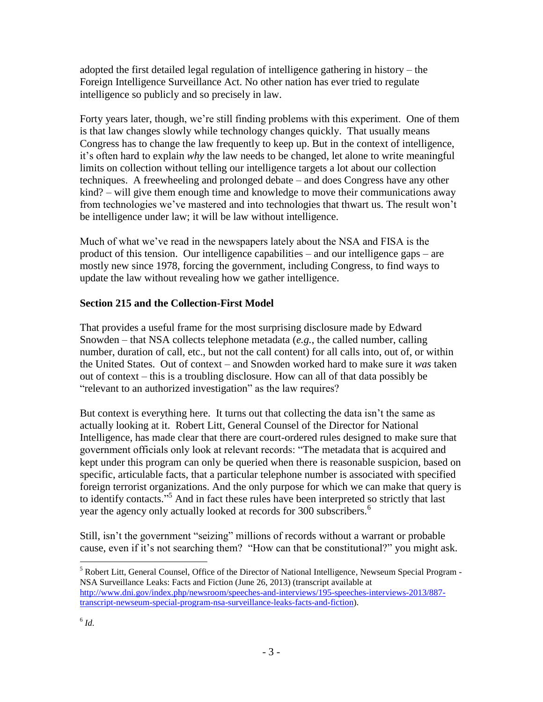adopted the first detailed legal regulation of intelligence gathering in history – the Foreign Intelligence Surveillance Act. No other nation has ever tried to regulate intelligence so publicly and so precisely in law.

Forty years later, though, we're still finding problems with this experiment. One of them is that law changes slowly while technology changes quickly. That usually means Congress has to change the law frequently to keep up. But in the context of intelligence, it's often hard to explain *why* the law needs to be changed, let alone to write meaningful limits on collection without telling our intelligence targets a lot about our collection techniques. A freewheeling and prolonged debate – and does Congress have any other kind? – will give them enough time and knowledge to move their communications away from technologies we've mastered and into technologies that thwart us. The result won't be intelligence under law; it will be law without intelligence.

Much of what we've read in the newspapers lately about the NSA and FISA is the product of this tension. Our intelligence capabilities – and our intelligence gaps – are mostly new since 1978, forcing the government, including Congress, to find ways to update the law without revealing how we gather intelligence.

## **Section 215 and the Collection-First Model**

That provides a useful frame for the most surprising disclosure made by Edward Snowden – that NSA collects telephone metadata (*e.g.*, the called number, calling number, duration of call, etc., but not the call content) for all calls into, out of, or within the United States. Out of context – and Snowden worked hard to make sure it *was* taken out of context – this is a troubling disclosure. How can all of that data possibly be "relevant to an authorized investigation" as the law requires?

But context is everything here. It turns out that collecting the data isn't the same as actually looking at it. Robert Litt, General Counsel of the Director for National Intelligence, has made clear that there are court-ordered rules designed to make sure that government officials only look at relevant records: "The metadata that is acquired and kept under this program can only be queried when there is reasonable suspicion, based on specific, articulable facts, that a particular telephone number is associated with specified foreign terrorist organizations. And the only purpose for which we can make that query is to identify contacts."<sup>5</sup> And in fact these rules have been interpreted so strictly that last year the agency only actually looked at records for 300 subscribers.<sup>6</sup>

Still, isn't the government "seizing" millions of records without a warrant or probable cause, even if it's not searching them? "How can that be constitutional?" you might ask.

 $\overline{a}$ <sup>5</sup> Robert Litt, General Counsel, Office of the Director of National Intelligence, Newseum Special Program - NSA Surveillance Leaks: Facts and Fiction (June 26, 2013) (transcript available at [http://www.dni.gov/index.php/newsroom/speeches-and-interviews/195-speeches-interviews-2013/887](http://www.dni.gov/index.php/newsroom/speeches-and-interviews/195-speeches-interviews-2013/887-transcript-newseum-special-program-nsa-surveillance-leaks-facts-and-fiction) [transcript-newseum-special-program-nsa-surveillance-leaks-facts-and-fiction\)](http://www.dni.gov/index.php/newsroom/speeches-and-interviews/195-speeches-interviews-2013/887-transcript-newseum-special-program-nsa-surveillance-leaks-facts-and-fiction).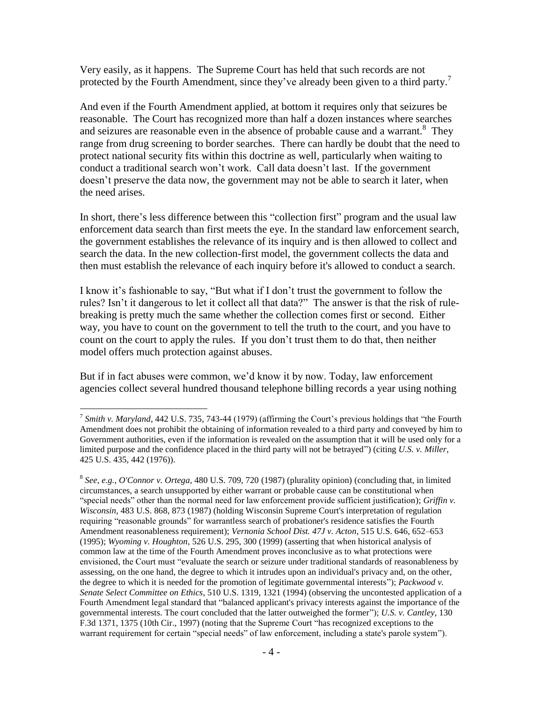Very easily, as it happens. The Supreme Court has held that such records are not protected by the Fourth Amendment, since they've already been given to a third party.<sup>7</sup>

And even if the Fourth Amendment applied, at bottom it requires only that seizures be reasonable. The Court has recognized more than half a dozen instances where searches and seizures are reasonable even in the absence of probable cause and a warrant.<sup>8</sup> They range from drug screening to border searches. There can hardly be doubt that the need to protect national security fits within this doctrine as well, particularly when waiting to conduct a traditional search won't work. Call data doesn't last. If the government doesn't preserve the data now, the government may not be able to search it later, when the need arises.

In short, there's less difference between this "collection first" program and the usual law enforcement data search than first meets the eye. In the standard law enforcement search, the government establishes the relevance of its inquiry and is then allowed to collect and search the data. In the new collection-first model, the government collects the data and then must establish the relevance of each inquiry before it's allowed to conduct a search.

I know it's fashionable to say, "But what if I don't trust the government to follow the rules? Isn't it dangerous to let it collect all that data?" The answer is that the risk of rulebreaking is pretty much the same whether the collection comes first or second. Either way, you have to count on the government to tell the truth to the court, and you have to count on the court to apply the rules. If you don't trust them to do that, then neither model offers much protection against abuses.

But if in fact abuses were common, we'd know it by now. Today, law enforcement agencies collect several hundred thousand telephone billing records a year using nothing

 $\overline{a}$ 

<sup>&</sup>lt;sup>7</sup> Smith v. Maryland, 442 U.S. 735, 743-44 (1979) (affirming the Court's previous holdings that "the Fourth" Amendment does not prohibit the obtaining of information revealed to a third party and conveyed by him to Government authorities, even if the information is revealed on the assumption that it will be used only for a limited purpose and the confidence placed in the third party will not be betrayed") (citing *U.S. v. Miller*, 425 U.S. 435, 442 (1976)).

<sup>8</sup> *See*, *e.g.*, *O'Connor v. Ortega*, 480 U.S. 709, 720 (1987) (plurality opinion) (concluding that, in limited circumstances, a search unsupported by either warrant or probable cause can be constitutional when "special needs" other than the normal need for law enforcement provide sufficient justification); *Griffin v. Wisconsin*, 483 U.S. 868, 873 (1987) (holding Wisconsin Supreme Court's interpretation of regulation requiring "reasonable grounds" for warrantless search of probationer's residence satisfies the Fourth Amendment reasonableness requirement); *Vernonia School Dist. 47J v. Acton*, 515 U.S. 646, 652–653 (1995); *Wyoming v. Houghton*, 526 U.S. 295, 300 (1999) (asserting that when historical analysis of common law at the time of the Fourth Amendment proves inconclusive as to what protections were envisioned, the Court must "evaluate the search or seizure under traditional standards of reasonableness by assessing, on the one hand, the degree to which it intrudes upon an individual's privacy and, on the other, the degree to which it is needed for the promotion of legitimate governmental interests"); *Packwood v. Senate Select Committee on Ethics*, 510 U.S. 1319, 1321 (1994) (observing the uncontested application of a Fourth Amendment legal standard that "balanced applicant's privacy interests against the importance of the governmental interests. The court concluded that the latter outweighed the former"); *U.S. v. Cantley*, 130 F.3d 1371, 1375 (10th Cir., 1997) (noting that the Supreme Court "has recognized exceptions to the warrant requirement for certain "special needs" of law enforcement, including a state's parole system").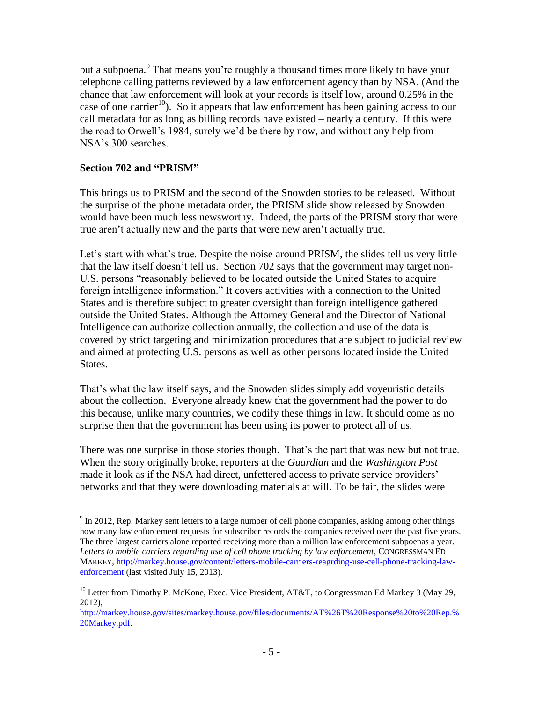but a subpoena.<sup>9</sup> That means you're roughly a thousand times more likely to have your telephone calling patterns reviewed by a law enforcement agency than by NSA. (And the chance that law enforcement will look at your records is itself low, around 0.25% in the case of one carrier<sup>10</sup>). So it appears that law enforcement has been gaining access to our call metadata for as long as billing records have existed – nearly a century. If this were the road to Orwell's 1984, surely we'd be there by now, and without any help from NSA's 300 searches.

## **Section 702 and "PRISM"**

 $\overline{a}$ 

This brings us to PRISM and the second of the Snowden stories to be released. Without the surprise of the phone metadata order, the PRISM slide show released by Snowden would have been much less newsworthy. Indeed, the parts of the PRISM story that were true aren't actually new and the parts that were new aren't actually true.

Let's start with what's true. Despite the noise around PRISM, the slides tell us very little that the law itself doesn't tell us. Section 702 says that the government may target non-U.S. persons "reasonably believed to be located outside the United States to acquire foreign intelligence information." It covers activities with a connection to the United States and is therefore subject to greater oversight than foreign intelligence gathered outside the United States. Although the Attorney General and the Director of National Intelligence can authorize collection annually, the collection and use of the data is covered by strict targeting and minimization procedures that are subject to judicial review and aimed at protecting U.S. persons as well as other persons located inside the United States.

That's what the law itself says, and the Snowden slides simply add voyeuristic details about the collection. Everyone already knew that the government had the power to do this because, unlike many countries, we codify these things in law. It should come as no surprise then that the government has been using its power to protect all of us.

There was one surprise in those stories though. That's the part that was new but not true. When the story originally broke, reporters at the *Guardian* and the *Washington Post* made it look as if the NSA had direct, unfettered access to private service providers' networks and that they were downloading materials at will. To be fair, the slides were

 $9 \text{ In } 2012$ , Rep. Markey sent letters to a large number of cell phone companies, asking among other things how many law enforcement requests for subscriber records the companies received over the past five years. The three largest carriers alone reported receiving more than a million law enforcement subpoenas a year. *Letters to mobile carriers regarding use of cell phone tracking by law enforcement*, CONGRESSMAN ED MARKEY, [http://markey.house.gov/content/letters-mobile-carriers-reagrding-use-cell-phone-tracking-law](http://markey.house.gov/content/letters-mobile-carriers-reagrding-use-cell-phone-tracking-law-enforcement)[enforcement](http://markey.house.gov/content/letters-mobile-carriers-reagrding-use-cell-phone-tracking-law-enforcement) (last visited July 15, 2013).

<sup>&</sup>lt;sup>10</sup> Letter from Timothy P. McKone, Exec. Vice President, AT&T, to Congressman Ed Markey 3 (May 29, 2012),

[http://markey.house.gov/sites/markey.house.gov/files/documents/AT%26T%20Response%20to%20Rep.%](http://markey.house.gov/sites/markey.house.gov/files/documents/AT%26T%20Response%20to%20Rep.%20Markey.pdf) [20Markey.pdf.](http://markey.house.gov/sites/markey.house.gov/files/documents/AT%26T%20Response%20to%20Rep.%20Markey.pdf)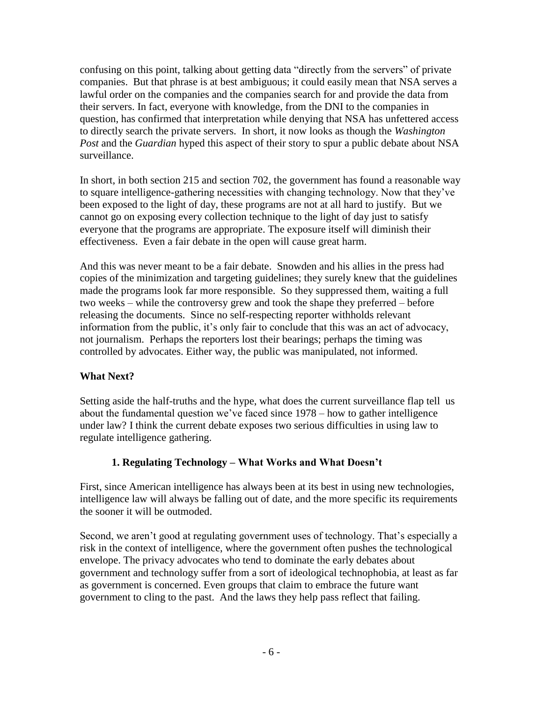confusing on this point, talking about getting data "directly from the servers" of private companies. But that phrase is at best ambiguous; it could easily mean that NSA serves a lawful order on the companies and the companies search for and provide the data from their servers. In fact, everyone with knowledge, from the DNI to the companies in question, has confirmed that interpretation while denying that NSA has unfettered access to directly search the private servers. In short, it now looks as though the *Washington Post* and the *Guardian* hyped this aspect of their story to spur a public debate about NSA surveillance.

In short, in both section 215 and section 702, the government has found a reasonable way to square intelligence-gathering necessities with changing technology. Now that they've been exposed to the light of day, these programs are not at all hard to justify. But we cannot go on exposing every collection technique to the light of day just to satisfy everyone that the programs are appropriate. The exposure itself will diminish their effectiveness. Even a fair debate in the open will cause great harm.

And this was never meant to be a fair debate. Snowden and his allies in the press had copies of the minimization and targeting guidelines; they surely knew that the guidelines made the programs look far more responsible. So they suppressed them, waiting a full two weeks – while the controversy grew and took the shape they preferred – before releasing the documents. Since no self-respecting reporter withholds relevant information from the public, it's only fair to conclude that this was an act of advocacy, not journalism. Perhaps the reporters lost their bearings; perhaps the timing was controlled by advocates. Either way, the public was manipulated, not informed.

### **What Next?**

Setting aside the half-truths and the hype, what does the current surveillance flap tell us about the fundamental question we've faced since 1978 – how to gather intelligence under law? I think the current debate exposes two serious difficulties in using law to regulate intelligence gathering.

### **1. Regulating Technology – What Works and What Doesn't**

First, since American intelligence has always been at its best in using new technologies, intelligence law will always be falling out of date, and the more specific its requirements the sooner it will be outmoded.

Second, we aren't good at regulating government uses of technology. That's especially a risk in the context of intelligence, where the government often pushes the technological envelope. The privacy advocates who tend to dominate the early debates about government and technology suffer from a sort of ideological technophobia, at least as far as government is concerned. Even groups that claim to embrace the future want government to cling to the past. And the laws they help pass reflect that failing.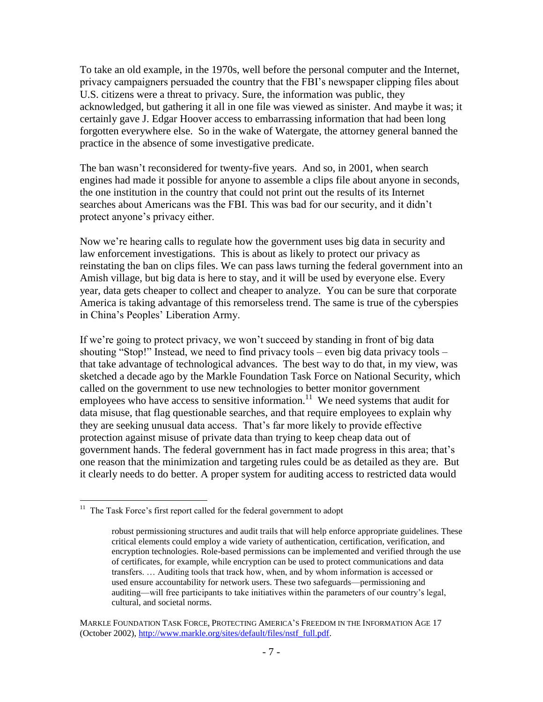To take an old example, in the 1970s, well before the personal computer and the Internet, privacy campaigners persuaded the country that the FBI's newspaper clipping files about U.S. citizens were a threat to privacy. Sure, the information was public, they acknowledged, but gathering it all in one file was viewed as sinister. And maybe it was; it certainly gave J. Edgar Hoover access to embarrassing information that had been long forgotten everywhere else. So in the wake of Watergate, the attorney general banned the practice in the absence of some investigative predicate.

The ban wasn't reconsidered for twenty-five years. And so, in 2001, when search engines had made it possible for anyone to assemble a clips file about anyone in seconds, the one institution in the country that could not print out the results of its Internet searches about Americans was the FBI. This was bad for our security, and it didn't protect anyone's privacy either.

Now we're hearing calls to regulate how the government uses big data in security and law enforcement investigations. This is about as likely to protect our privacy as reinstating the ban on clips files. We can pass laws turning the federal government into an Amish village, but big data is here to stay, and it will be used by everyone else. Every year, data gets cheaper to collect and cheaper to analyze. You can be sure that corporate America is taking advantage of this remorseless trend. The same is true of the cyberspies in China's Peoples' Liberation Army.

If we're going to protect privacy, we won't succeed by standing in front of big data shouting "Stop!" Instead, we need to find privacy tools – even big data privacy tools – that take advantage of technological advances. The best way to do that, in my view, was sketched a decade ago by the Markle Foundation Task Force on National Security, which called on the government to use new technologies to better monitor government employees who have access to sensitive information.<sup>11</sup> We need systems that audit for data misuse, that flag questionable searches, and that require employees to explain why they are seeking unusual data access. That's far more likely to provide effective protection against misuse of private data than trying to keep cheap data out of government hands. The federal government has in fact made progress in this area; that's one reason that the minimization and targeting rules could be as detailed as they are. But it clearly needs to do better. A proper system for auditing access to restricted data would

<sup>&</sup>lt;sup>11</sup> The Task Force's first report called for the federal government to adopt

robust permissioning structures and audit trails that will help enforce appropriate guidelines. These critical elements could employ a wide variety of authentication, certification, verification, and encryption technologies. Role-based permissions can be implemented and verified through the use of certificates, for example, while encryption can be used to protect communications and data transfers. … Auditing tools that track how, when, and by whom information is accessed or used ensure accountability for network users. These two safeguards—permissioning and auditing—will free participants to take initiatives within the parameters of our country's legal, cultural, and societal norms.

MARKLE FOUNDATION TASK FORCE, PROTECTING AMERICA'S FREEDOM IN THE INFORMATION AGE 17 (October 2002), [http://www.markle.org/sites/default/files/nstf\\_full.pdf.](http://www.markle.org/sites/default/files/nstf_full.pdf)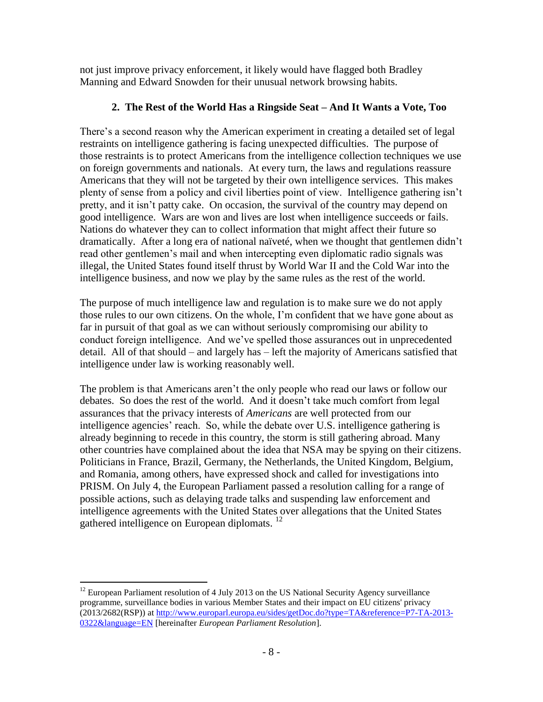not just improve privacy enforcement, it likely would have flagged both Bradley Manning and Edward Snowden for their unusual network browsing habits.

# **2. The Rest of the World Has a Ringside Seat – And It Wants a Vote, Too**

There's a second reason why the American experiment in creating a detailed set of legal restraints on intelligence gathering is facing unexpected difficulties. The purpose of those restraints is to protect Americans from the intelligence collection techniques we use on foreign governments and nationals. At every turn, the laws and regulations reassure Americans that they will not be targeted by their own intelligence services. This makes plenty of sense from a policy and civil liberties point of view. Intelligence gathering isn't pretty, and it isn't patty cake. On occasion, the survival of the country may depend on good intelligence. Wars are won and lives are lost when intelligence succeeds or fails. Nations do whatever they can to collect information that might affect their future so dramatically. After a long era of national naïveté, when we thought that gentlemen didn't read other gentlemen's mail and when intercepting even diplomatic radio signals was illegal, the United States found itself thrust by World War II and the Cold War into the intelligence business, and now we play by the same rules as the rest of the world.

The purpose of much intelligence law and regulation is to make sure we do not apply those rules to our own citizens. On the whole, I'm confident that we have gone about as far in pursuit of that goal as we can without seriously compromising our ability to conduct foreign intelligence. And we've spelled those assurances out in unprecedented detail. All of that should – and largely has – left the majority of Americans satisfied that intelligence under law is working reasonably well.

The problem is that Americans aren't the only people who read our laws or follow our debates. So does the rest of the world. And it doesn't take much comfort from legal assurances that the privacy interests of *Americans* are well protected from our intelligence agencies' reach. So, while the debate over U.S. intelligence gathering is already beginning to recede in this country, the storm is still gathering abroad. Many other countries have complained about the idea that NSA may be spying on their citizens. Politicians in France, Brazil, Germany, the Netherlands, the United Kingdom, Belgium, and Romania, among others, have expressed shock and called for investigations into PRISM. On July 4, the European Parliament passed a resolution calling for a range of possible actions, such as delaying trade talks and suspending law enforcement and intelligence agreements with the United States over allegations that the United States gathered intelligence on European diplomats. <sup>12</sup>

 $\overline{a}$  $12$  European Parliament resolution of 4 July 2013 on the US National Security Agency surveillance programme, surveillance bodies in various Member States and their impact on EU citizens' privacy (2013/2682(RSP)) at [http://www.europarl.europa.eu/sides/getDoc.do?type=TA&reference=P7-TA-2013-](http://www.europarl.europa.eu/sides/getDoc.do?type=TA&reference=P7-TA-2013-0322&language=EN) [0322&language=EN](http://www.europarl.europa.eu/sides/getDoc.do?type=TA&reference=P7-TA-2013-0322&language=EN) [hereinafter *European Parliament Resolution*].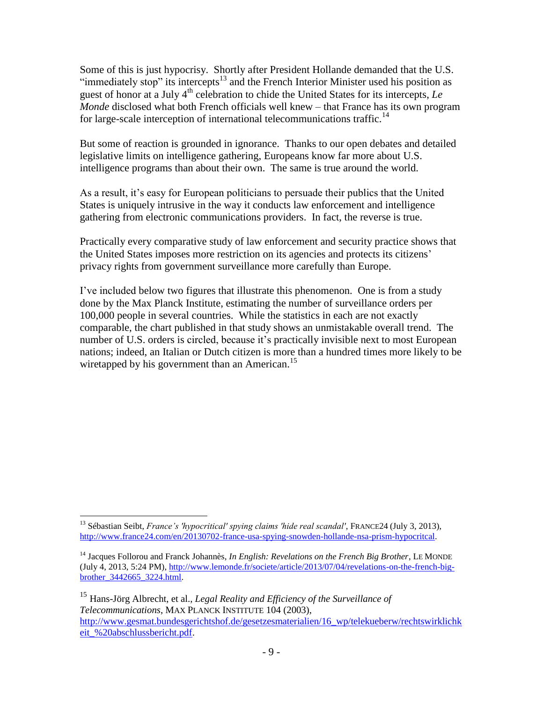Some of this is just hypocrisy. Shortly after President Hollande demanded that the U.S. "immediately stop" its intercepts $^{13}$  and the French Interior Minister used his position as guest of honor at a July 4<sup>th</sup> celebration to chide the United States for its intercepts, *Le Monde* disclosed what both French officials well knew – that France has its own program for large-scale interception of international telecommunications traffic.<sup>14</sup>

But some of reaction is grounded in ignorance. Thanks to our open debates and detailed legislative limits on intelligence gathering, Europeans know far more about U.S. intelligence programs than about their own. The same is true around the world.

As a result, it's easy for European politicians to persuade their publics that the United States is uniquely intrusive in the way it conducts law enforcement and intelligence gathering from electronic communications providers. In fact, the reverse is true.

Practically every comparative study of law enforcement and security practice shows that the United States imposes more restriction on its agencies and protects its citizens' privacy rights from government surveillance more carefully than Europe.

I've included below two figures that illustrate this phenomenon. One is from a study done by the Max Planck Institute, estimating the number of surveillance orders per 100,000 people in several countries. While the statistics in each are not exactly comparable, the chart published in that study shows an unmistakable overall trend. The number of U.S. orders is circled, because it's practically invisible next to most European nations; indeed, an Italian or Dutch citizen is more than a hundred times more likely to be wiretapped by his government than an American.<sup>15</sup>

 $\overline{a}$ <sup>13</sup> Sébastian Seibt, *France's 'hypocritical' spying claims 'hide real scandal'*, FRANCE24 (July 3, 2013), [http://www.france24.com/en/20130702-france-usa-spying-snowden-hollande-nsa-prism-hypocritcal.](http://www.france24.com/en/20130702-france-usa-spying-snowden-hollande-nsa-prism-hypocritcal)

<sup>&</sup>lt;sup>14</sup> Jacques Follorou and Franck Johannès, *In English: Revelations on the French Big Brother*, LE MONDE (July 4, 2013, 5:24 PM)[, http://www.lemonde.fr/societe/article/2013/07/04/revelations-on-the-french-big](http://www.lemonde.fr/societe/article/2013/07/04/revelations-on-the-french-big-brother_3442665_3224.html)[brother\\_3442665\\_3224.html.](http://www.lemonde.fr/societe/article/2013/07/04/revelations-on-the-french-big-brother_3442665_3224.html)

<sup>15</sup> Hans-Jörg Albrecht, et al., *Legal Reality and Efficiency of the Surveillance of Telecommunications*, MAX PLANCK INSTITUTE 104 (2003), [http://www.gesmat.bundesgerichtshof.de/gesetzesmaterialien/16\\_wp/telekueberw/rechtswirklichk](http://www.gesmat.bundesgerichtshof.de/gesetzesmaterialien/16_wp/telekueberw/rechtswirklichkeit_%20abschlussbericht.pdf) [eit\\_%20abschlussbericht.pdf.](http://www.gesmat.bundesgerichtshof.de/gesetzesmaterialien/16_wp/telekueberw/rechtswirklichkeit_%20abschlussbericht.pdf)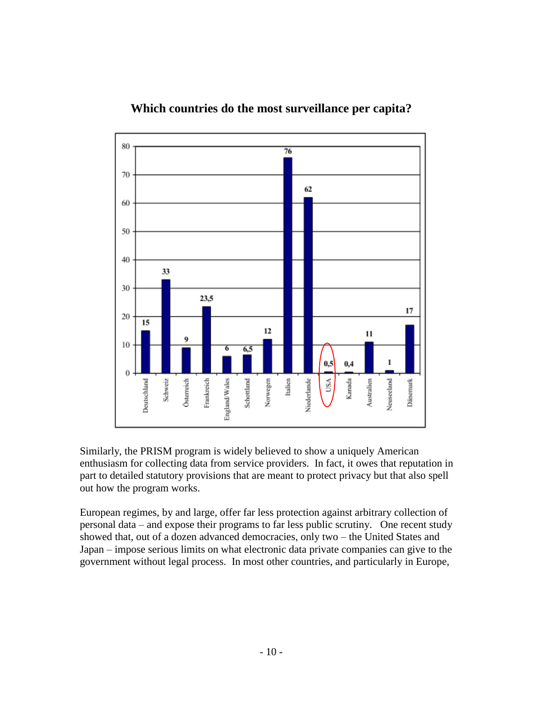

# **Which countries do the most surveillance per capita?**

Similarly, the PRISM program is widely believed to show a uniquely American enthusiasm for collecting data from service providers. In fact, it owes that reputation in part to detailed statutory provisions that are meant to protect privacy but that also spell out how the program works.

European regimes, by and large, offer far less protection against arbitrary collection of personal data – and expose their programs to far less public scrutiny. One recent study showed that, out of a dozen advanced democracies, only two – the United States and Japan – impose serious limits on what electronic data private companies can give to the government without legal process. In most other countries, and particularly in Europe,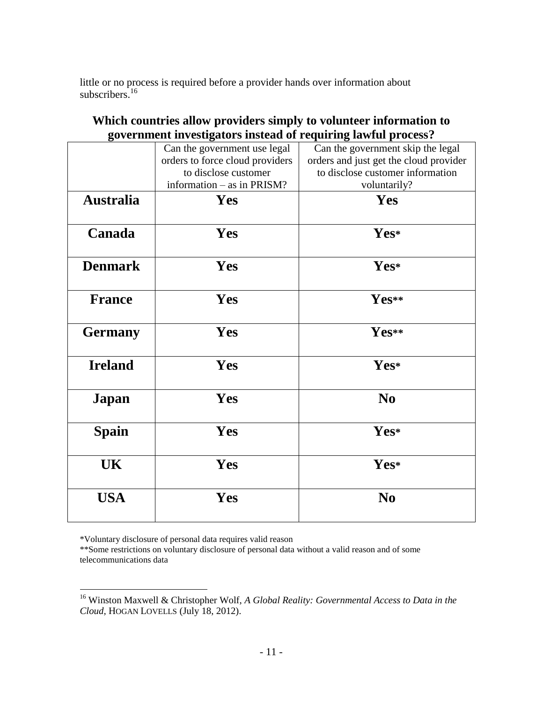little or no process is required before a provider hands over information about subscribers.<sup>16</sup>

| government investigators instead of requiring lawful process? |                                 |                                        |
|---------------------------------------------------------------|---------------------------------|----------------------------------------|
|                                                               | Can the government use legal    | Can the government skip the legal      |
|                                                               | orders to force cloud providers | orders and just get the cloud provider |
|                                                               | to disclose customer            | to disclose customer information       |
|                                                               | information – as in PRISM?      | voluntarily?                           |
| <b>Australia</b>                                              | <b>Yes</b>                      | Yes                                    |
|                                                               |                                 |                                        |
| Canada                                                        | Yes                             | Yes*                                   |
|                                                               |                                 |                                        |
| <b>Denmark</b>                                                | Yes                             | Yes*                                   |
|                                                               |                                 |                                        |
| <b>France</b>                                                 | Yes                             | Yes**                                  |
|                                                               |                                 |                                        |
| <b>Germany</b>                                                | Yes                             | Yes**                                  |
|                                                               |                                 |                                        |
| <b>Ireland</b>                                                | Yes                             | Yes*                                   |
|                                                               |                                 |                                        |
|                                                               | Yes                             | N <sub>0</sub>                         |
| <b>Japan</b>                                                  |                                 |                                        |
|                                                               |                                 |                                        |
| <b>Spain</b>                                                  | Yes                             | Yes*                                   |
|                                                               |                                 |                                        |
| UK                                                            | Yes                             | Yes*                                   |
|                                                               |                                 |                                        |
| <b>USA</b>                                                    | Yes                             | N <sub>0</sub>                         |
|                                                               |                                 |                                        |

**Which countries allow providers simply to volunteer information to government investigators instead of requiring lawful process?**

\*Voluntary disclosure of personal data requires valid reason

 $\overline{a}$ 

\*\*Some restrictions on voluntary disclosure of personal data without a valid reason and of some telecommunications data

<sup>16</sup> Winston Maxwell & Christopher Wolf, *A Global Reality: Governmental Access to Data in the Cloud,* HOGAN LOVELLS (July 18, 2012).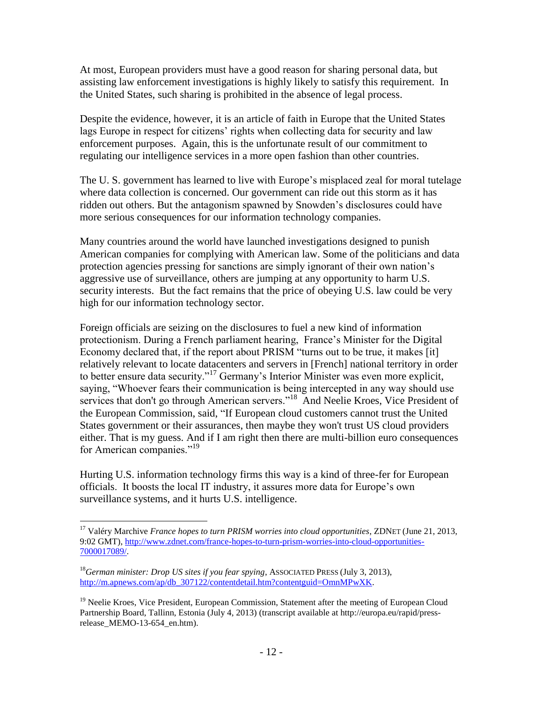At most, European providers must have a good reason for sharing personal data, but assisting law enforcement investigations is highly likely to satisfy this requirement. In the United States, such sharing is prohibited in the absence of legal process.

Despite the evidence, however, it is an article of faith in Europe that the United States lags Europe in respect for citizens' rights when collecting data for security and law enforcement purposes. Again, this is the unfortunate result of our commitment to regulating our intelligence services in a more open fashion than other countries.

The U. S. government has learned to live with Europe's misplaced zeal for moral tutelage where data collection is concerned. Our government can ride out this storm as it has ridden out others. But the antagonism spawned by Snowden's disclosures could have more serious consequences for our information technology companies.

Many countries around the world have launched investigations designed to punish American companies for complying with American law. Some of the politicians and data protection agencies pressing for sanctions are simply ignorant of their own nation's aggressive use of surveillance, others are jumping at any opportunity to harm U.S. security interests. But the fact remains that the price of obeying U.S. law could be very high for our information technology sector.

Foreign officials are seizing on the disclosures to fuel a new kind of information protectionism. During a French parliament hearing, France's Minister for the Digital Economy declared that, if the report about PRISM "turns out to be true, it makes [it] relatively relevant to locate datacenters and servers in [French] national territory in order to better ensure data security."<sup>17</sup> Germany's Interior Minister was even more explicit, saying, "Whoever fears their communication is being intercepted in any way should use services that don't go through American servers."<sup>18</sup> And Neelie Kroes, Vice President of the European Commission, said, "If European cloud customers cannot trust the United States government or their assurances, then maybe they won't trust US cloud providers either. That is my guess. And if I am right then there are multi-billion euro consequences for American companies."<sup>19</sup>

Hurting U.S. information technology firms this way is a kind of three-fer for European officials. It boosts the local IT industry, it assures more data for Europe's own surveillance systems, and it hurts U.S. intelligence.

 $\overline{a}$ 

<sup>17</sup> Valéry Marchive *France hopes to turn PRISM worries into cloud opportunities*, ZDNET (June 21, 2013, 9:02 GMT), [http://www.zdnet.com/france-hopes-to-turn-prism-worries-into-cloud-opportunities-](http://www.zdnet.com/france-hopes-to-turn-prism-worries-into-cloud-opportunities-7000017089/)[7000017089/.](http://www.zdnet.com/france-hopes-to-turn-prism-worries-into-cloud-opportunities-7000017089/)

<sup>18</sup>*German minister: Drop US sites if you fear spying*, ASSOCIATED PRESS (July 3, 2013), [http://m.apnews.com/ap/db\\_307122/contentdetail.htm?contentguid=OmnMPwXK.](http://m.apnews.com/ap/db_307122/contentdetail.htm?contentguid=OmnMPwXK)

<sup>&</sup>lt;sup>19</sup> Neelie Kroes, Vice President, European Commission, Statement after the meeting of European Cloud Partnership Board, Tallinn, Estonia (July 4, 2013) (transcript available at http://europa.eu/rapid/pressrelease MEMO-13-654 en.htm).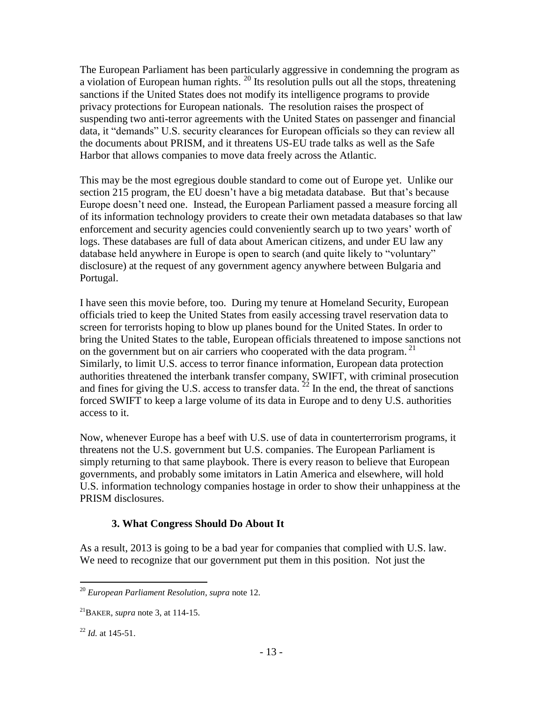The European Parliament has been particularly aggressive in condemning the program as a violation of European human rights.  $^{20}$  Its resolution pulls out all the stops, threatening sanctions if the United States does not modify its intelligence programs to provide privacy protections for European nationals. The resolution raises the prospect of suspending two anti-terror agreements with the United States on passenger and financial data, it "demands" U.S. security clearances for European officials so they can review all the documents about PRISM, and it threatens US-EU trade talks as well as the Safe Harbor that allows companies to move data freely across the Atlantic.

This may be the most egregious double standard to come out of Europe yet. Unlike our section 215 program, the EU doesn't have a big metadata database. But that's because Europe doesn't need one. Instead, the European Parliament passed a measure forcing all of its information technology providers to create their own metadata databases so that law enforcement and security agencies could conveniently search up to two years' worth of logs. These databases are full of data about American citizens, and under EU law any database held anywhere in Europe is open to search (and quite likely to "voluntary" disclosure) at the request of any government agency anywhere between Bulgaria and Portugal.

I have seen this movie before, too. During my tenure at Homeland Security, European officials tried to keep the United States from easily accessing travel reservation data to screen for terrorists hoping to blow up planes bound for the United States. In order to bring the United States to the table, European officials threatened to impose sanctions not on the government but on air carriers who cooperated with the data program.<sup>21</sup> Similarly, to limit U.S. access to terror finance information, European data protection authorities threatened the interbank transfer company, SWIFT, with criminal prosecution and fines for giving the U.S. access to transfer data.  $^{22}$  In the end, the threat of sanctions forced SWIFT to keep a large volume of its data in Europe and to deny U.S. authorities access to it.

Now, whenever Europe has a beef with U.S. use of data in counterterrorism programs, it threatens not the U.S. government but U.S. companies. The European Parliament is simply returning to that same playbook. There is every reason to believe that European governments, and probably some imitators in Latin America and elsewhere, will hold U.S. information technology companies hostage in order to show their unhappiness at the PRISM disclosures.

### **3. What Congress Should Do About It**

As a result, 2013 is going to be a bad year for companies that complied with U.S. law. We need to recognize that our government put them in this position. Not just the

 $\overline{a}$ <sup>20</sup> *European Parliament Resolution*, *supra* note 12.

<sup>21</sup>BAKER, *supra* note 3, at 114-15.

<sup>22</sup> *Id.* at 145-51.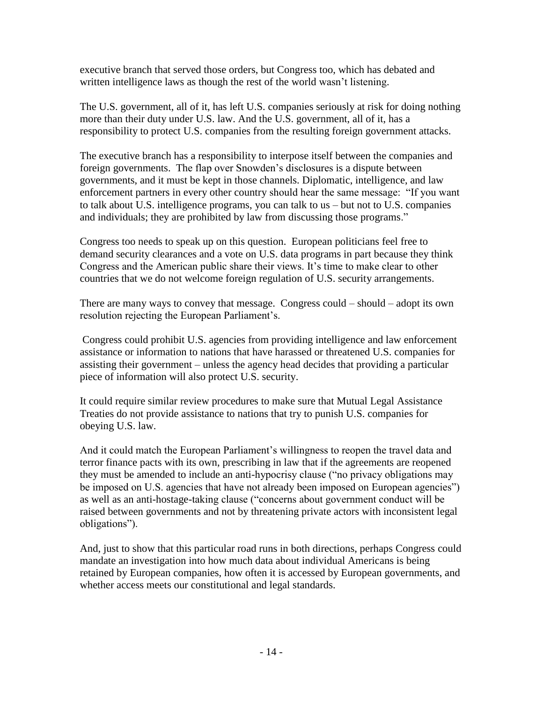executive branch that served those orders, but Congress too, which has debated and written intelligence laws as though the rest of the world wasn't listening.

The U.S. government, all of it, has left U.S. companies seriously at risk for doing nothing more than their duty under U.S. law. And the U.S. government, all of it, has a responsibility to protect U.S. companies from the resulting foreign government attacks.

The executive branch has a responsibility to interpose itself between the companies and foreign governments. The flap over Snowden's disclosures is a dispute between governments, and it must be kept in those channels. Diplomatic, intelligence, and law enforcement partners in every other country should hear the same message: "If you want to talk about U.S. intelligence programs, you can talk to us – but not to U.S. companies and individuals; they are prohibited by law from discussing those programs."

Congress too needs to speak up on this question. European politicians feel free to demand security clearances and a vote on U.S. data programs in part because they think Congress and the American public share their views. It's time to make clear to other countries that we do not welcome foreign regulation of U.S. security arrangements.

There are many ways to convey that message. Congress could – should – adopt its own resolution rejecting the European Parliament's.

Congress could prohibit U.S. agencies from providing intelligence and law enforcement assistance or information to nations that have harassed or threatened U.S. companies for assisting their government – unless the agency head decides that providing a particular piece of information will also protect U.S. security.

It could require similar review procedures to make sure that Mutual Legal Assistance Treaties do not provide assistance to nations that try to punish U.S. companies for obeying U.S. law.

And it could match the European Parliament's willingness to reopen the travel data and terror finance pacts with its own, prescribing in law that if the agreements are reopened they must be amended to include an anti-hypocrisy clause ("no privacy obligations may be imposed on U.S. agencies that have not already been imposed on European agencies") as well as an anti-hostage-taking clause ("concerns about government conduct will be raised between governments and not by threatening private actors with inconsistent legal obligations").

And, just to show that this particular road runs in both directions, perhaps Congress could mandate an investigation into how much data about individual Americans is being retained by European companies, how often it is accessed by European governments, and whether access meets our constitutional and legal standards.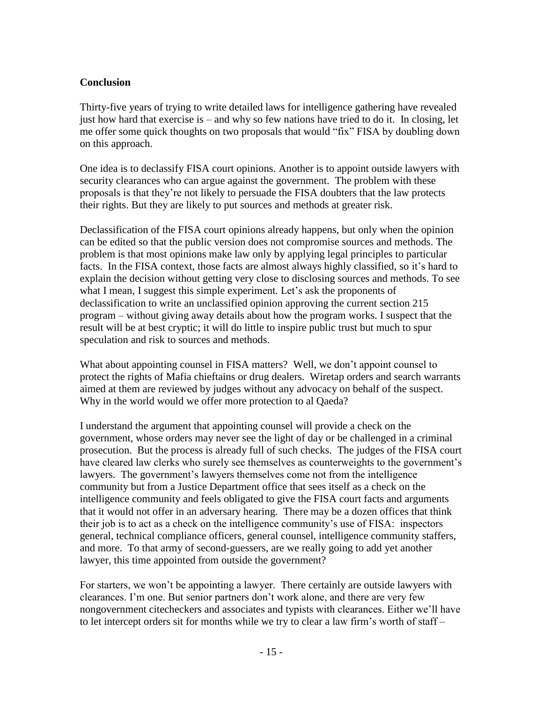## **Conclusion**

Thirty-five years of trying to write detailed laws for intelligence gathering have revealed just how hard that exercise is – and why so few nations have tried to do it. In closing, let me offer some quick thoughts on two proposals that would "fix" FISA by doubling down on this approach.

One idea is to declassify FISA court opinions. Another is to appoint outside lawyers with security clearances who can argue against the government. The problem with these proposals is that they're not likely to persuade the FISA doubters that the law protects their rights. But they are likely to put sources and methods at greater risk.

Declassification of the FISA court opinions already happens, but only when the opinion can be edited so that the public version does not compromise sources and methods. The problem is that most opinions make law only by applying legal principles to particular facts. In the FISA context, those facts are almost always highly classified, so it's hard to explain the decision without getting very close to disclosing sources and methods. To see what I mean, I suggest this simple experiment. Let's ask the proponents of declassification to write an unclassified opinion approving the current section 215 program – without giving away details about how the program works. I suspect that the result will be at best cryptic; it will do little to inspire public trust but much to spur speculation and risk to sources and methods.

What about appointing counsel in FISA matters? Well, we don't appoint counsel to protect the rights of Mafia chieftains or drug dealers. Wiretap orders and search warrants aimed at them are reviewed by judges without any advocacy on behalf of the suspect. Why in the world would we offer more protection to al Qaeda?

I understand the argument that appointing counsel will provide a check on the government, whose orders may never see the light of day or be challenged in a criminal prosecution. But the process is already full of such checks. The judges of the FISA court have cleared law clerks who surely see themselves as counterweights to the government's lawyers. The government's lawyers themselves come not from the intelligence community but from a Justice Department office that sees itself as a check on the intelligence community and feels obligated to give the FISA court facts and arguments that it would not offer in an adversary hearing. There may be a dozen offices that think their job is to act as a check on the intelligence community's use of FISA: inspectors general, technical compliance officers, general counsel, intelligence community staffers, and more. To that army of second-guessers, are we really going to add yet another lawyer, this time appointed from outside the government?

For starters, we won't be appointing a lawyer. There certainly are outside lawyers with clearances. I'm one. But senior partners don't work alone, and there are very few nongovernment citecheckers and associates and typists with clearances. Either we'll have to let intercept orders sit for months while we try to clear a law firm's worth of staff –